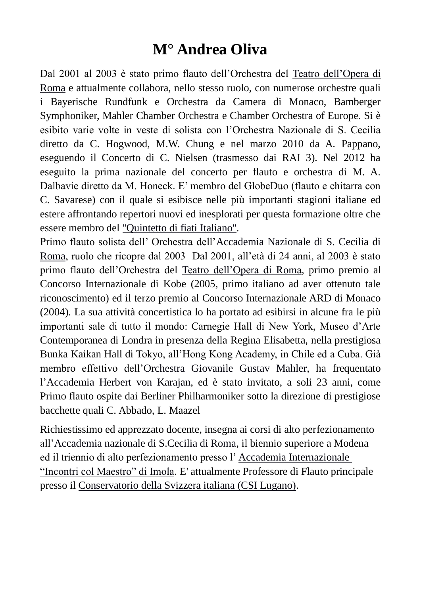## **M° Andrea Oliva**

Dal 2001 al 2003 è stato primo flauto dell'Orchestra del [Teatro dell'Opera di](http://www.operaroma.it/#_blank)  [Roma](http://www.operaroma.it/#_blank) e attualmente collabora, nello stesso ruolo, con numerose orchestre quali i Bayerische Rundfunk e Orchestra da Camera di Monaco, Bamberger Symphoniker, Mahler Chamber Orchestra e Chamber Orchestra of Europe. Si è esibito varie volte in veste di solista con l'Orchestra Nazionale di S. Cecilia diretto da C. Hogwood, M.W. Chung e nel marzo 2010 da A. Pappano, eseguendo il Concerto di C. Nielsen (trasmesso dai RAI 3). Nel 2012 ha eseguito la prima nazionale del concerto per flauto e orchestra di M. A. Dalbavie diretto da M. Honeck. E' membro del GlobeDuo (flauto e chitarra con C. Savarese) con il quale si esibisce nelle più importanti stagioni italiane ed estere affrontando repertori nuovi ed inesplorati per questa formazione oltre che essere membro del ["Quintetto di fiati Italiano".](http://www.leonardofinotti.it/quintetto_di_fiati_italiano.html#_blank)

Primo flauto solista dell' Orchestra dell['Accademia Nazionale di S. Cecilia di](http://www.santacecilia.it/#_blank)  [Roma,](http://www.santacecilia.it/#_blank) ruolo che ricopre dal 2003 Dal 2001, all'età di 24 anni, al 2003 è stato primo flauto dell'Orchestra del [Teatro dell'Opera di Roma,](http://www.operaroma.it/#_blank) primo premio al Concorso Internazionale di Kobe (2005, primo italiano ad aver ottenuto tale riconoscimento) ed il terzo premio al Concorso Internazionale ARD di Monaco (2004). La sua attività concertistica lo ha portato ad esibirsi in alcune fra le più importanti sale di tutto il mondo: Carnegie Hall di New York, Museo d'Arte Contemporanea di Londra in presenza della Regina Elisabetta, nella prestigiosa Bunka Kaikan Hall di Tokyo, all'Hong Kong Academy, in Chile ed a Cuba. Già membro effettivo dell['Orchestra Giovanile Gustav Mahler,](http://www.gmjo.at/#_blank) ha frequentato l['Accademia Herbert von Karajan,](https://www.berliner-philharmoniker.de/en/academy/#_blank) ed è stato invitato, a soli 23 anni, come Primo flauto ospite dai Berliner Philharmoniker sotto la direzione di prestigiose bacchette quali C. Abbado, L. Maazel

Richiestissimo ed apprezzato docente, insegna ai corsi di alto perfezionamento all['Accademia nazionale di S.Cecilia di Roma,](http://www.santacecilia.it/#_blank) il biennio superiore a Modena ed il triennio di alto perfezionamento presso l' [Accademia Internazionale](http://www.accademiapianistica.org/it/home/#_blank)  ["Incontri col Maestro" di Imola.](http://www.accademiapianistica.org/it/home/#_blank) E' attualmente Professore di Flauto principale presso il [Conservatorio della Svizzera italiana \(CSI Lugano\).](http://www.conservatorio.ch/#_blank)